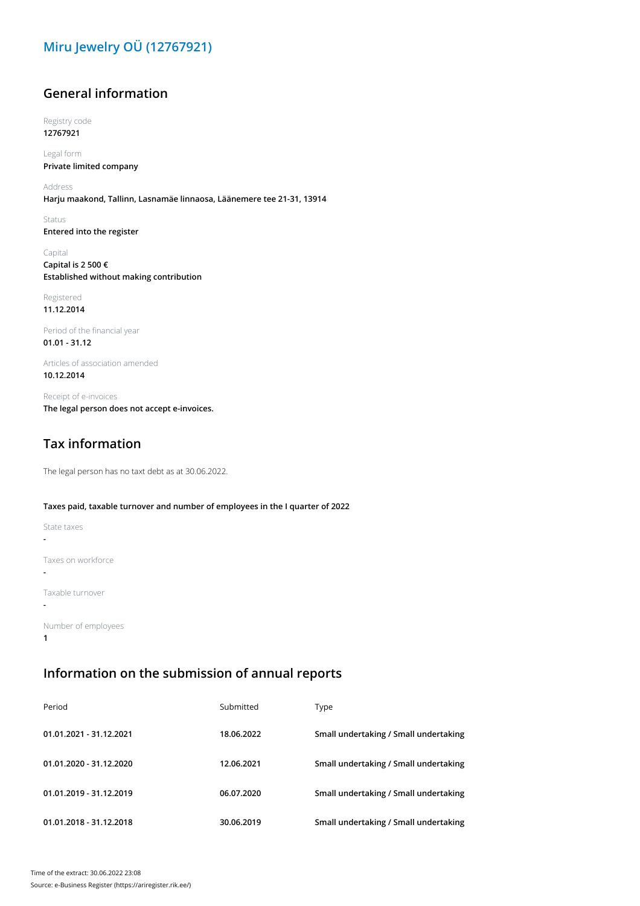# **Miru Jewelry OÜ (12767921)**

## **General information**

Registry code **12767921**

Legal form **Private limited company**

Address **Harju maakond, Tallinn, Lasnamäe linnaosa, Läänemere tee 21-31, 13914**

Status **Entered into the register**

Capital **Capital is 2 500 € Established without making contribution**

Registered **11.12.2014**

Period of the financial year **01.01 - 31.12**

Articles of association amended **10.12.2014**

Receipt of e-invoices **The legal person does not accept e-invoices.**

## **Tax information**

The legal person has no taxt debt as at 30.06.2022.

#### **Taxes paid, taxable turnover and number of employees in the I quarter of 2022**

State taxes **-** Taxes on workforce **-** Taxable turnover **-** Number of employees

**1**

## **Information on the submission of annual reports**

| Period                  | Submitted  | Type                                  |
|-------------------------|------------|---------------------------------------|
| 01.01.2021 - 31.12.2021 | 18.06.2022 | Small undertaking / Small undertaking |
| 01.01.2020 - 31.12.2020 | 12.06.2021 | Small undertaking / Small undertaking |
| 01.01.2019 - 31.12.2019 | 06.07.2020 | Small undertaking / Small undertaking |
| 01.01.2018 - 31.12.2018 | 30.06.2019 | Small undertaking / Small undertaking |